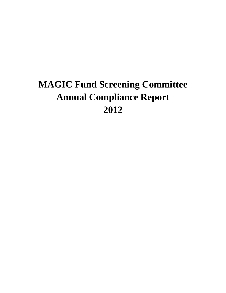# **MAGIC Fund Screening Committee Annual Compliance Report 2012**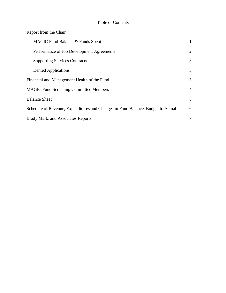#### Table of Contents

| Report from the Chair                                                           |                |
|---------------------------------------------------------------------------------|----------------|
| MAGIC Fund Balance & Funds Spent                                                | $\mathbf{1}$   |
| Performance of Job Development Agreements                                       | 2              |
| <b>Supporting Services Contracts</b>                                            | 3              |
| Denied Applications                                                             | 3              |
| Financial and Management Health of the Fund                                     | 3              |
| <b>MAGIC Fund Screening Committee Members</b>                                   | $\overline{4}$ |
| <b>Balance Sheet</b>                                                            | 5              |
| Schedule of Revenue, Expenditures and Changes in Fund Balance, Budget to Actual | 6              |
| <b>Brady Martz and Associates Reports</b>                                       | 7              |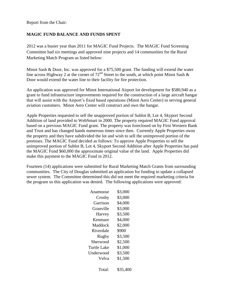Report from the Chair:

#### **MAGIC FUND BALANCE AND FUNDS SPENT**

2012 was a busier year than 2011 for MAGIC Fund Projects. The MAGIC Fund Screening Committee had six meetings and approved nine projects and 14 communities for the Rural Marketing Match Program as listed below:

Minot Sash & Door, Inc. was approved for a \$75,500 grant. The funding will extend the water line across Highway 2 at the corner of  $72<sup>nd</sup>$  Street to the south, at which point Minot Sash & Door would extend the water line to their facility for fire protection.

An application was approved for Minot International Airport lot development for \$580,940 as a grant to fund infrastructure improvements required for the construction of a large aircraft hangar that will assist with the Airport's fixed based operations (Minot Aero Center) in serving general aviation customers. Minot Aero Center will construct and own the hangar.

Apple Properties requested to sell the unapproved portion of Sublot B, Lot 4, Skyport Second Addition of land provided to WebSmart in 2000. The property required MAGIC Fund approval based on a previous MAGIC Fund grant. The property was foreclosed on by First Western Bank and Trust and has changed hands numerous times since then. Currently Apple Properties owns the property and they have subdivided the lot and wish to sell the unimproved portion of the premises. The MAGIC Fund decided as follows: To approve Apple Properties to sell the unimproved portion of Sublot B, Lot 4, Skyport Second Addition after Apple Properties has paid the MAGIC Fund \$60,000 the approximate original value of the land. Apple Properties did make this payment to the MAGIC Fund in 2012.

Fourteen (14) applications were submitted for Rural Marketing Match Grants from surrounding communities. The City of Douglas submitted an application for funding to update a collapsed sewer system. The Committee determined this did not meet the required marketing criteria for the program so this application was denied. The following applications were approved:

| Anamoose    | \$3,000  |
|-------------|----------|
| Crosby      | \$3,000  |
| Garrison    | \$4,000  |
| Granville   | \$3,000  |
| Harvey      | \$3,500  |
| Kenmare     | \$4,000  |
| Maddock     | \$2,000  |
| Riverdale   | \$900    |
| Rugby       | \$3,500  |
| Sherwood    | \$2,500  |
| Turtle Lake | \$1,000  |
| Underwood   | \$3,500  |
| Velva       | \$1,500  |
| Total:      | \$35,400 |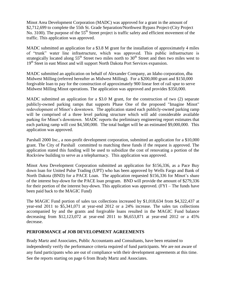Minot Area Development Corporation (MADC) was approved for a grant in the amount of \$2,712,699 to complete the 55th St. Grade Separation/Northwest Bypass Project-(City Project No. 3100). The purpose of the  $55<sup>th</sup>$  Street project is traffic safety and efficient movement of the traffic. This application was approved.

MADC submitted an application for a \$3.8 M grant for the installation of approximately 4 miles of "trunk" water line infrastructure, which was approved. This public infrastructure is strategically located along  $55<sup>th</sup>$  Street two miles north to  $30<sup>th</sup>$  Street and then two miles west to 19<sup>th</sup> Steet in east Minot and will support North Dakota Port Services expansion.

MADC submitted an application on behalf of Alexander Company, an Idaho corporation, dba Midwest Milling (referred hereafter as Midwest Milling). For a \$200,000 grant and \$150,000 forgivable loan to pay for the construction of approximately 900 linear feet of rail spur to serve Midwest Milling Minot operations. The application was approved and provides \$350,000.

MADC submitted an application for a \$3.0 M grant, for the construction of two (2) separate publicly-owned parking ramps that supports Phase One of the proposed "Imagine Minot" redevelopment of Minot's downtown. The application stated each publicly-owned parking ramp will be comprised of a three level parking structure which will add considerable available parking for Minot's downtown. MADC reports the preliminary engineering report estimates that each parking ramp will cost \$4,500,000. The total budget will be an estimated \$9,000,000. This application was approved.

Parshall 2000 Inc., a non-profit development corporation, submitted an application for a \$10,000 grant. The City of Parshall committed to matching these funds if the request is approved. The application stated this funding will be used to subsidize the cost of renovating a portion of the Rockview building to serve as a telepharmacy. This application was approved.

Minot Area Development Corporation submitted an application for \$156,336, as a Pace Buy down loan for United Pulse Trading (UPT) who has been approved by Wells Fargo and Bank of North Dakota (BND) for a PACE Loan. The application requested \$156,336 for Minot's share of the interest buy-down for the PACE loan program. BND will provide the amount of \$279,336 for their portion of the interest buy-down. This application was approved. (FYI – The funds have been paid back to the MAGIC Fund)

The MAGIC Fund portion of sales tax collections increased by \$1,018,634 from \$4,322,437 at year-end 2011 to \$5,341,071 at year-end 2012 or a 24% increase. The sales tax collections accompanied by and the grants and forgivable loans resulted in the MAGIC Fund balance decreasing from \$12,123,072 at year-end 2011 to \$6,653,871 at year-end 2012 or a 45% decrease.

#### **PERFORMANCE of JOB DEVELOPMENT AGREEMENTS**

Brady Martz and Associates, Public Accountants and Consultants, have been retained to independently verify the performance criteria required of fund participants. We are not aware of any fund participants who are out of compliance with their development agreements at this time. See the reports starting on page 6 from Brady Martz and Associates.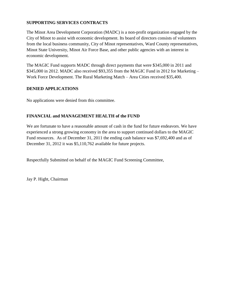#### **SUPPORTING SERVICES CONTRACTS**

The Minot Area Development Corporation (MADC) is a non-profit organization engaged by the City of Minot to assist with economic development. Its board of directors consists of volunteers from the local business community, City of Minot representatives, Ward County representatives, Minot State University, Minot Air Force Base, and other public agencies with an interest in economic development.

The MAGIC Fund supports MADC through direct payments that were \$345,000 in 2011 and \$345,000 in 2012. MADC also received \$93,355 from the MAGIC Fund in 2012 for Marketing – Work Force Development. The Rural Marketing Match – Area Cities received \$35,400.

#### **DENIED APPLICATIONS**

No applications were denied from this committee.

#### **FINANCIAL and MANAGEMENT HEALTH of the FUND**

We are fortunate to have a reasonable amount of cash in the fund for future endeavors. We have experienced a strong growing economy in the area to support continued dollars to the MAGIC Fund resources. As of December 31, 2011 the ending cash balance was \$7,692,400 and as of December 31, 2012 it was \$5,110,762 available for future projects.

Respectfully Submitted on behalf of the MAGIC Fund Screening Committee,

Jay P. Hight, Chairman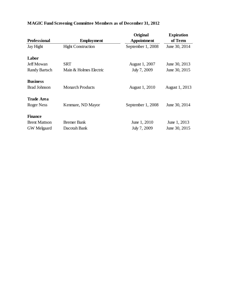|                      |                           | Original           | <b>Expiration</b>     |
|----------------------|---------------------------|--------------------|-----------------------|
| <b>Professional</b>  | <b>Employment</b>         | <b>Appointment</b> | of Term               |
| Jay Hight            | <b>Hight Construction</b> | September 1, 2008  | June 30, 2014         |
| Labor                |                           |                    |                       |
| <b>Jeff Mowan</b>    | <b>SRT</b>                | August 1, 2007     | June 30, 2013         |
| <b>Randy Bartsch</b> | Main & Holmes Electric    | July 7, 2009       | June 30, 2015         |
| <b>Business</b>      |                           |                    |                       |
| <b>Brad Johnson</b>  | <b>Monarch Products</b>   | August 1, 2010     | <b>August 1, 2013</b> |
| Trade Area           |                           |                    |                       |
| Roger Ness           | Kenmare, ND Mayor         | September 1, 2008  | June 30, 2014         |
| <b>Finance</b>       |                           |                    |                       |
| <b>Brent Mattson</b> | <b>Bremer Bank</b>        | June 1, 2010       | June 1, 2013          |
| <b>GW</b> Melgaard   | Dacotah Bank              | July 7, 2009       | June 30, 2015         |

## **MAGIC Fund Screening Committee Members as of December 31, 2012**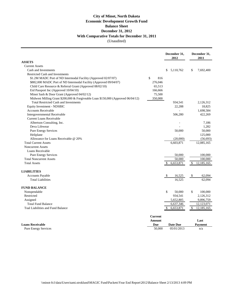### (Unaudited) **City of Minot, North Dakota Economic Development Growth Fund Balance Sheet December 31, 2012 With Comparative Totals for December 31, 2011**

|                                                                                  |                | December 31,<br>2012 | December 31,<br>2011                    |
|----------------------------------------------------------------------------------|----------------|----------------------|-----------------------------------------|
| <b>ASSETS</b>                                                                    |                |                      |                                         |
| <b>Current Assets</b>                                                            |                |                      |                                         |
| Cash and Investments                                                             |                | 5,110,762<br>\$      | \$<br>7,692,400                         |
| <b>Restricted Cash and Investments</b>                                           |                |                      |                                         |
| \$1.2M MADC Port of ND Intermodal Facility (Approved 02/07/07)                   | \$<br>816      |                      |                                         |
| \$882,000 MADC Port of ND Intermodal Facility (Approved 09/04/07)                | 276,046        |                      |                                         |
| Child Care Resource & Referral Grant (Approved 08/02/10)                         | 65,513         |                      |                                         |
| Eid Passport Inc (Approved 10/04/10)                                             | 166,666        |                      |                                         |
| Minot Sash & Door Grant (Approved 04/02/12)                                      | 75,500         |                      |                                         |
| Midwest Milling Grant \$200,000 & Forgiveable Loan \$150,000 (Approved 06/04/12) | 350,000        |                      |                                         |
| <b>Total Restricted Cash and Investments</b>                                     |                | 934,541              | 2,126,312                               |
| Equity Investment - NDSBIC                                                       |                | 22,288               | 18,825                                  |
| <b>Accounts Receivable</b>                                                       |                |                      | 1,698,584                               |
| Intergovernmental Receivable                                                     |                | 506,280              | 422,269                                 |
| <b>Current Loans Receivable</b>                                                  |                |                      |                                         |
| Albertson Consulting, Inc.                                                       |                |                      | 7,186                                   |
| Deva Lifewear                                                                    |                |                      | 1,282                                   |
| <b>Pure Energy Services</b>                                                      |                | 50,000               | 50,000                                  |
| Heliplane                                                                        |                |                      | 125,000                                 |
| Allowance for Loans Receivable @ 20%                                             |                | (20,000)             | (56, 693)                               |
| <b>Total Current Assets</b>                                                      |                | 6,603,871            | 12,085,165                              |
| <b>Noncurrent Assets</b>                                                         |                |                      |                                         |
| Loans Receivable                                                                 |                |                      |                                         |
| <b>Pure Energy Services</b>                                                      |                | 50,000               | 100,000                                 |
| <b>Total Noncurrent Assets</b>                                                   |                | 50,000               | 100,000                                 |
| <b>Total Assets</b>                                                              |                | 6,653,871<br>\$      | $\boldsymbol{\mathsf{S}}$<br>12,185,165 |
| <b>LIABILITIES</b>                                                               |                |                      |                                         |
| Accounts Payable                                                                 |                | \$<br>16,525         | \$<br>62,094                            |
| <b>Total Liabilities</b>                                                         |                | 16,525               | 62,094                                  |
| <b>FUND BALANCE</b>                                                              |                |                      |                                         |
| Nonspendable                                                                     |                | \$<br>50,000         | \$<br>100,000                           |
| Restricted                                                                       |                | 934,541              | 2,126,312                               |
| Assigned                                                                         |                | 5,652,805            | 9,896,759                               |
| <b>Total Fund Balance</b>                                                        |                | 6,637,346            | 12,123,071                              |
| Toal Liabilities and Fund Balance                                                |                | 6,653,871<br>\$      | $\mathbb{S}$<br>12,185,165              |
|                                                                                  | <b>Current</b> |                      |                                         |
|                                                                                  | <b>Amount</b>  |                      | Last                                    |
| <b>Loans Receivable</b>                                                          | Due            | <b>Date Due</b>      | <b>Payment</b>                          |
| <b>Pure Energy Services</b>                                                      | 50,000         | 05/01/2013           | n/a                                     |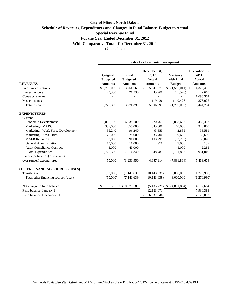#### **City of Minot, North Dakota Schedule of Revenues, Expenditures and Changes in Fund Balance, Budget to Actual Special Revenue Fund For the Year Ended December 31, 2012 With Comparative Totals for December 31, 2011** (Unaudited)

|                                                              | <b>Sales Tax Economic Development</b>         |                                            |                                                         |                                                |                                                         |
|--------------------------------------------------------------|-----------------------------------------------|--------------------------------------------|---------------------------------------------------------|------------------------------------------------|---------------------------------------------------------|
| <b>REVENUES</b>                                              | Original<br><b>Budgeted</b><br><b>Amounts</b> | Final<br><b>Budgeted</b><br><b>Amounts</b> | December 31,<br>2012<br><b>Actual</b><br><b>Amounts</b> | <b>Variance</b><br>with Final<br><b>Budget</b> | December 31,<br>2011<br><b>Actual</b><br><b>Amounts</b> |
| Sales tax collections                                        | \$3,756,060                                   | \$<br>3,756,060                            | $\mathbb{S}$<br>5,341,071                               | $(1,585,011)$ \$<br><sup>\$</sup>              | 4,322,437                                               |
| Interest income                                              | 20,330                                        | 20,330                                     | 45,900                                                  | (25,570)                                       | 47,668                                                  |
| Contract revenue                                             |                                               |                                            |                                                         |                                                | 1,698,584                                               |
| Miscellaneous                                                |                                               |                                            | 119,426                                                 | (119, 426)                                     | 376,025                                                 |
| Total revenues                                               | 3,776,390                                     | 3,776,390                                  | 5,506,397                                               | (1,730,007)                                    | 6,444,714                                               |
| <b>EXPENDITURES</b>                                          |                                               |                                            |                                                         |                                                |                                                         |
| Current                                                      |                                               |                                            |                                                         |                                                |                                                         |
| Economic Development                                         | 3,055,150                                     | 6,339,100                                  | 270,463                                                 | 6,068,637                                      | 480,307                                                 |
| Marketing - MADC                                             | 355,000                                       | 355,000                                    | 345,000                                                 | 10,000                                         | 345,000                                                 |
| Marketing - Work Force Development                           | 96,240                                        | 96,240                                     | 93,355                                                  | 2,885                                          | 53,581                                                  |
| Marketing - Area Cities                                      | 75,000                                        | 75,000                                     | 35,400                                                  | 39,600                                         | 36,690                                                  |
| <b>MAFB</b> Retention                                        | 90,000                                        | 90,000                                     | 103,295                                                 | (13,295)                                       | 63,020                                                  |
| <b>General Administration</b>                                | 10,000                                        | 10,000                                     | 970                                                     | 9,030                                          | 157                                                     |
| <b>Audit Compliance Contract</b>                             | 45,000                                        | 45,000                                     |                                                         | 45,000                                         | 2,285                                                   |
| Total expenditures                                           | 3,726,390                                     | 7,010,340                                  | 848,483                                                 | 6,161,857                                      | 981,040                                                 |
| Excess (deficiency) of revenues<br>over (under) expenditures | 50,000                                        | (3,233,950)                                | 4,657,914                                               | (7,891,864)                                    | 5,463,674                                               |
| OTHER FINANCING SOURCES (USES)                               |                                               |                                            |                                                         |                                                |                                                         |
| Transfers out                                                | (50,000)                                      | (7, 143, 639)                              | (10, 143, 639)                                          | 3,000,000                                      | (1,270,990)                                             |
| Total other financing sources (uses)                         | (50,000)                                      | (7, 143, 639)                              | (10, 143, 639)                                          | 3,000,000                                      | (1,270,990)                                             |
| Net change in fund balance                                   |                                               | \$(10, 377, 589)                           | $(5,485,725)$ \$                                        | (4,891,864)                                    | 4,192,684                                               |
| Fund balance, January 1                                      |                                               |                                            | 12,123,071                                              |                                                | 7,930,388                                               |
| Fund balance, December 31                                    |                                               |                                            | \$<br>6,637,346                                         |                                                | 12,123,072<br>\$                                        |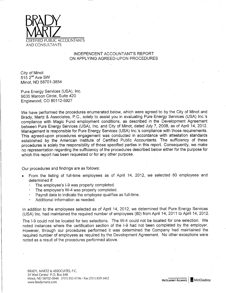

#### INDEPENDENT ACCOUNTANT'S REPORT ON APPLYING AGREED-UPON PROCEDURES

City of Minot  $515$   $2<sup>nd</sup>$  Ave SW Minot, ND 58701-3854

Pure Energy Services (USA), Inc. 9635 Maroon Circle, Suite 420 Englewood, CO 80112-5927

We have performed the procedures enumerated below, which were agreed to by the City of Minot and Brady, Martz & Associates, P.C., solely to assist you in evaluating Pure Energy Services (USA) Inc.'s compliance with Magic Fund employment conditions, as described in the Development Agreement between Pure Energy Services (USA), Inc. and City of Minot, dated July 7, 2008, as of April 14, 2012. Management is responsible for Pure Energy Services (USA) Inc.'s compliance with those requirements. This agreed-upon procedures engagement was conducted in accordance with attestation standards established by the American Institute of Certified Public Accountants. The sufficiency of these procedures is solely the responsibility of those specified parties in this report. Consequently, we make no representation regarding the sufficiency of the procedures described below either for the purpose for which this report has been requested or for any other purpose.

Our procedures and findings are as follows:

- From the listing of full-time employees as of April 14, 2012, we selected 80 employees and determined if:
	- The employee's I-9 was properly completed.
	- The employee's W-4 was properly completed.
	- Payroll data to indicate the employee qualifies as full-time.
	- Additional information as needed.

In addition to the employees selected as of April 14, 2012, we determined that Pure Energy Services (USA) Inc. had maintained the required number of employees (80) from April 14, 2011 to April 14, 2012.

The I-9 could not be located for two selections. The W-4 could not be located for one selection. We noted instances where the certification section of the I-9 had not been completed by the employer. However, through our procedures performed it was determined the Company had maintained the required number of employees as required by the Development Agreement. No other exceptions were noted as a result of the procedures performed above.